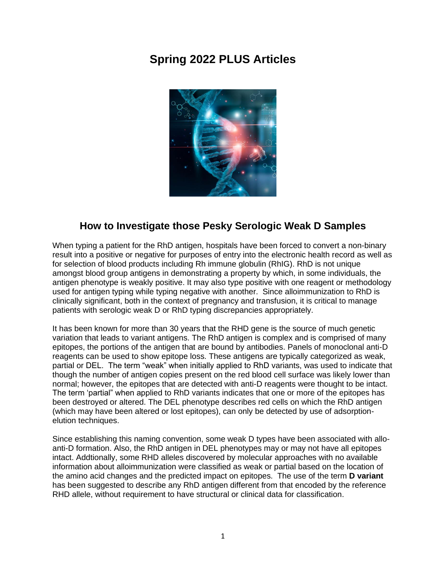# **Spring 2022 PLUS Articles**



## **How to Investigate those Pesky Serologic Weak D Samples**

When typing a patient for the RhD antigen, hospitals have been forced to convert a non-binary result into a positive or negative for purposes of entry into the electronic health record as well as for selection of blood products including Rh immune globulin (RhIG). RhD is not unique amongst blood group antigens in demonstrating a property by which, in some individuals, the antigen phenotype is weakly positive. It may also type positive with one reagent or methodology used for antigen typing while typing negative with another. Since alloimmunization to RhD is clinically significant, both in the context of pregnancy and transfusion, it is critical to manage patients with serologic weak D or RhD typing discrepancies appropriately.

It has been known for more than 30 years that the RHD gene is the source of much genetic variation that leads to variant antigens. The RhD antigen is complex and is comprised of many epitopes, the portions of the antigen that are bound by antibodies. Panels of monoclonal anti-D reagents can be used to show epitope loss. These antigens are typically categorized as weak, partial or DEL. The term "weak" when initially applied to RhD variants, was used to indicate that though the number of antigen copies present on the red blood cell surface was likely lower than normal; however, the epitopes that are detected with anti-D reagents were thought to be intact. The term 'partial" when applied to RhD variants indicates that one or more of the epitopes has been destroyed or altered. The DEL phenotype describes red cells on which the RhD antigen (which may have been altered or lost epitopes), can only be detected by use of adsorptionelution techniques.

Since establishing this naming convention, some weak D types have been associated with alloanti-D formation. Also, the RhD antigen in DEL phenotypes may or may not have all epitopes intact. Addtionally, some RHD alleles discovered by molecular approaches with no available information about alloimmunization were classified as weak or partial based on the location of the amino acid changes and the predicted impact on epitopes. The use of the term **D variant** has been suggested to describe any RhD antigen different from that encoded by the reference RHD allele, without requirement to have structural or clinical data for classification.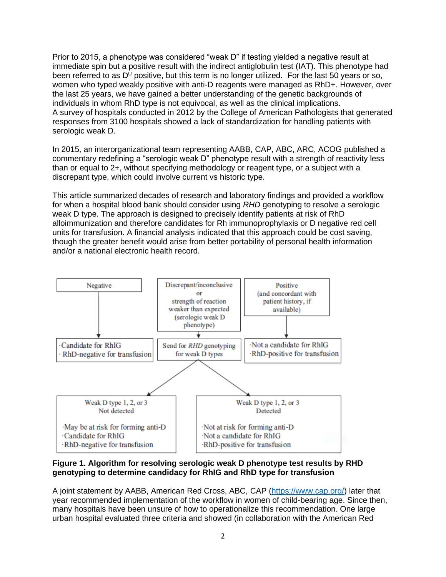Prior to 2015, a phenotype was considered "weak D" if testing yielded a negative result at immediate spin but a positive result with the indirect antiglobulin test (IAT). This phenotype had been referred to as  $D^U$  positive, but this term is no longer utilized. For the last 50 years or so, women who typed weakly positive with anti-D reagents were managed as RhD+. However, over the last 25 years, we have gained a better understanding of the genetic backgrounds of individuals in whom RhD type is not equivocal, as well as the clinical implications. A survey of hospitals conducted in 2012 by the College of American Pathologists that generated responses from 3100 hospitals showed a lack of standardization for handling patients with serologic weak D.

In 2015, an interorganizational team representing AABB, CAP, ABC, ARC, ACOG published a commentary redefining a "serologic weak D" phenotype result with a strength of reactivity less than or equal to 2+, without specifying methodology or reagent type, or a subject with a discrepant type, which could involve current vs historic type.

This article summarized decades of research and laboratory findings and provided a workflow for when a hospital blood bank should consider using *RHD* genotyping to resolve a serologic weak D type. The approach is designed to precisely identify patients at risk of RhD alloimmunization and therefore candidates for Rh immunoprophylaxis or D negative red cell units for transfusion. A financial analysis indicated that this approach could be cost saving, though the greater benefit would arise from better portability of personal health information and/or a national electronic health record.



**Figure 1. Algorithm for resolving serologic weak D phenotype test results by RHD genotyping to determine candidacy for RhIG and RhD type for transfusion** 

A joint statement by AABB, American Red Cross, ABC, CAP [\(https://www.cap.org/\)](https://www.cap.org/) later that year recommended implementation of the workflow in women of child-bearing age. Since then, many hospitals have been unsure of how to operationalize this recommendation. One large urban hospital evaluated three criteria and showed (in collaboration with the American Red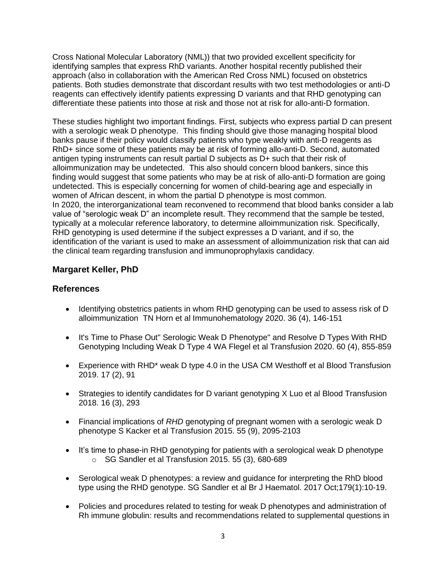Cross National Molecular Laboratory (NML)) that two provided excellent specificity for identifying samples that express RhD variants. Another hospital recently published their approach (also in collaboration with the American Red Cross NML) focused on obstetrics patients. Both studies demonstrate that discordant results with two test methodologies or anti-D reagents can effectively identify patients expressing D variants and that RHD genotyping can differentiate these patients into those at risk and those not at risk for allo-anti-D formation.

These studies highlight two important findings. First, subjects who express partial D can present with a serologic weak D phenotype. This finding should give those managing hospital blood banks pause if their policy would classify patients who type weakly with anti-D reagents as RhD+ since some of these patients may be at risk of forming allo-anti-D. Second, automated antigen typing instruments can result partial D subjects as D+ such that their risk of alloimmunization may be undetected. This also should concern blood bankers, since this finding would suggest that some patients who may be at risk of allo-anti-D formation are going undetected. This is especially concerning for women of child-bearing age and especially in women of African descent, in whom the partial D phenotype is most common. In 2020, the interorganizational team reconvened to recommend that blood banks consider a lab value of "serologic weak D" an incomplete result. They recommend that the sample be tested, typically at a molecular reference laboratory, to determine alloimmunization risk. Specifically, RHD genotyping is used determine if the subject expresses a D variant, and if so, the identification of the variant is used to make an assessment of alloimmunization risk that can aid the clinical team regarding transfusion and immunoprophylaxis candidacy.

## **Margaret Keller, PhD**

- Identifying obstetrics patients in whom RHD genotyping can be used to assess risk of D alloimmunization TN Horn et al Immunohematology 2020. 36 (4), 146-151
- It's Time to Phase Out" Serologic Weak D Phenotype" and Resolve D Types With RHD Genotyping Including Weak D Type 4 WA Flegel et al Transfusion 2020. 60 (4), 855-859
- Experience with RHD\* weak D type 4.0 in the USA CM Westhoff et al Blood Transfusion 2019. 17 (2), 91
- Strategies to identify candidates for D variant genotyping X Luo et al Blood Transfusion 2018. 16 (3), 293
- Financial implications of *RHD* genotyping of pregnant women with a serologic weak D phenotype S Kacker et al Transfusion 2015. 55 (9), 2095-2103
- It's time to phase-in RHD genotyping for patients with a serological weak D phenotype  $\circ$  SG Sandler et al Transfusion 2015. 55 (3), 680-689
- Serological weak D phenotypes: a review and guidance for interpreting the RhD blood type using the RHD genotype. SG Sandler et al Br J Haematol. 2017 Oct;179(1):10-19.
- Policies and procedures related to testing for weak D phenotypes and administration of Rh immune globulin: results and recommendations related to supplemental questions in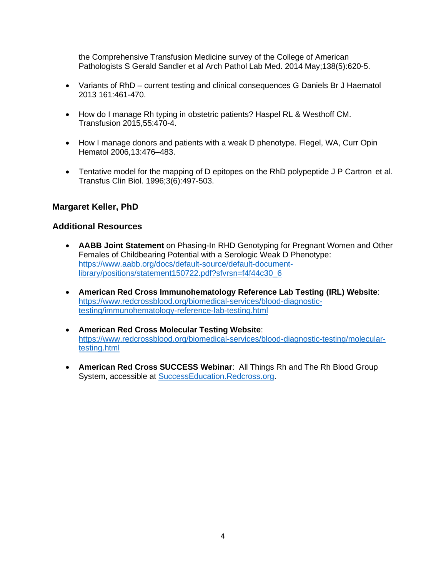the Comprehensive Transfusion Medicine survey of the College of American Pathologists [S Gerald Sandler](https://pubmed.ncbi.nlm.nih.gov/?term=Sandler+SG&cauthor_id=24786120) et al Arch Pathol Lab Med. 2014 May;138(5):620-5.

- Variants of RhD current testing and clinical consequences G Daniels Br J Haematol 2013 161:461-470.
- How do I manage Rh typing in obstetric patients? Haspel RL & Westhoff CM. Transfusion 2015,55:470-4.
- How I manage donors and patients with a weak D phenotype. Flegel, WA, Curr Opin Hematol 2006,13:476–483.
- Tentative model for the mapping of D epitopes on the RhD polypeptide [J P Cartron](https://pubmed.ncbi.nlm.nih.gov/?sort=date&term=Cartron+JP&cauthor_id=9018815) et al. Transfus Clin Biol. 1996;3(6):497-503.

### **Margaret Keller, PhD**

### **Additional Resources**

- **AABB Joint Statement** on Phasing-In RHD Genotyping for Pregnant Women and Other Females of Childbearing Potential with a Serologic Weak D Phenotype: [https://www.aabb.org/docs/default-source/default-document](https://www.aabb.org/docs/default-source/default-document-library/positions/statement150722.pdf?sfvrsn=f4f44c30_6)[library/positions/statement150722.pdf?sfvrsn=f4f44c30\\_6](https://www.aabb.org/docs/default-source/default-document-library/positions/statement150722.pdf?sfvrsn=f4f44c30_6)
- **American Red Cross Immunohematology Reference Lab Testing (IRL) Website**: [https://www.redcrossblood.org/biomedical-services/blood-diagnostic](https://www.redcrossblood.org/biomedical-services/blood-diagnostic-testing/immunohematology-reference-lab-testing.html)[testing/immunohematology-reference-lab-testing.html](https://www.redcrossblood.org/biomedical-services/blood-diagnostic-testing/immunohematology-reference-lab-testing.html)
- **American Red Cross Molecular Testing Website**: [https://www.redcrossblood.org/biomedical-services/blood-diagnostic-testing/molecular](https://www.redcrossblood.org/biomedical-services/blood-diagnostic-testing/molecular-testing.html)[testing.html](https://www.redcrossblood.org/biomedical-services/blood-diagnostic-testing/molecular-testing.html)
- **American Red Cross SUCCESS Webinar**: All Things Rh and The Rh Blood Group System, accessible at [SuccessEducation.Redcross.org.](http://successeducation.redcross.org/)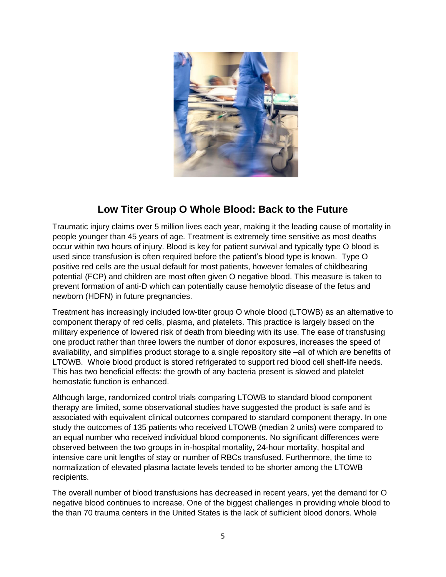

# **Low Titer Group O Whole Blood: Back to the Future**

Traumatic injury claims over 5 million lives each year, making it the leading cause of mortality in people younger than 45 years of age. Treatment is extremely time sensitive as most deaths occur within two hours of injury. Blood is key for patient survival and typically type O blood is used since transfusion is often required before the patient's blood type is known. Type O positive red cells are the usual default for most patients, however females of childbearing potential (FCP) and children are most often given O negative blood. This measure is taken to prevent formation of anti-D which can potentially cause hemolytic disease of the fetus and newborn (HDFN) in future pregnancies.

Treatment has increasingly included low-titer group O whole blood (LTOWB) as an alternative to component therapy of red cells, plasma, and platelets. This practice is largely based on the military experience of lowered risk of death from bleeding with its use. The ease of transfusing one product rather than three lowers the number of donor exposures, increases the speed of availability, and simplifies product storage to a single repository site –all of which are benefits of LTOWB. Whole blood product is stored refrigerated to support red blood cell shelf-life needs. This has two beneficial effects: the growth of any bacteria present is slowed and platelet hemostatic function is enhanced.

Although large, randomized control trials comparing LTOWB to standard blood component therapy are limited, some observational studies have suggested the product is safe and is associated with equivalent clinical outcomes compared to standard component therapy. In one study the outcomes of 135 patients who received LTOWB (median 2 units) were compared to an equal number who received individual blood components. No significant differences were observed between the two groups in in-hospital mortality, 24-hour mortality, hospital and intensive care unit lengths of stay or number of RBCs transfused. Furthermore, the time to normalization of elevated plasma lactate levels tended to be shorter among the LTOWB recipients.

The overall number of blood transfusions has decreased in recent years, yet the demand for O negative blood continues to increase. One of the biggest challenges in providing whole blood to the than 70 trauma centers in the United States is the lack of sufficient blood donors. Whole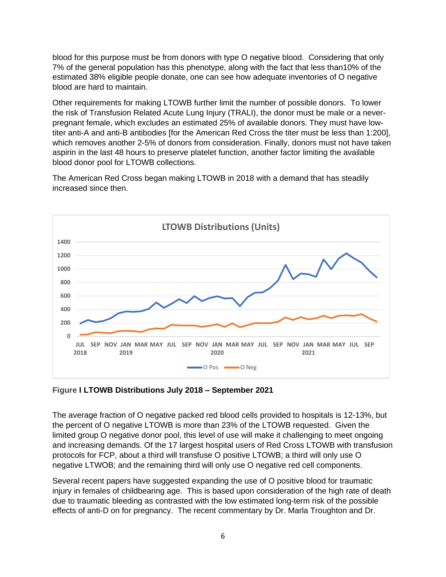blood for this purpose must be from donors with type O negative blood. Considering that only 7% of the general population has this phenotype, along with the fact that less than10% of the estimated 38% eligible people donate, one can see how adequate inventories of O negative blood are hard to maintain.

Other requirements for making LTOWB further limit the number of possible donors. To lower the risk of Transfusion Related Acute Lung Injury (TRALI), the donor must be male or a neverpregnant female, which excludes an estimated 25% of available donors. They must have lowtiter anti-A and anti-B antibodies [for the American Red Cross the titer must be less than 1:200], which removes another 2-5% of donors from consideration. Finally, donors must not have taken aspirin in the last 48 hours to preserve platelet function, another factor limiting the available blood donor pool for LTOWB collections.

The American Red Cross began making LTOWB in 2018 with a demand that has steadily increased since then.



**Figure I LTOWB Distributions July 2018 – September 2021**

The average fraction of O negative packed red blood cells provided to hospitals is 12-13%, but the percent of O negative LTOWB is more than 23% of the LTOWB requested. Given the limited group O negative donor pool, this level of use will make it challenging to meet ongoing and increasing demands. Of the 17 largest hospital users of Red Cross LTOWB with transfusion protocols for FCP, about a third will transfuse O positive LTOWB; a third will only use O negative LTWOB; and the remaining third will only use O negative red cell components.

Several recent papers have suggested expanding the use of O positive blood for traumatic injury in females of childbearing age. This is based upon consideration of the high rate of death due to traumatic bleeding as contrasted with the low estimated long-term risk of the possible effects of anti-D on for pregnancy. The recent commentary by Dr. Marla Troughton and Dr.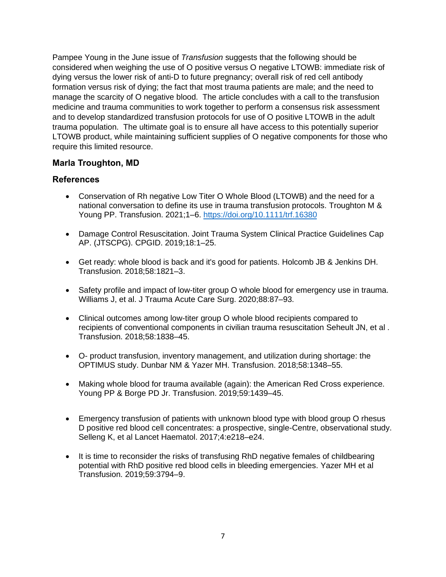Pampee Young in the June issue of *Transfusion* suggests that the following should be considered when weighing the use of O positive versus O negative LTOWB: immediate risk of dying versus the lower risk of anti-D to future pregnancy; overall risk of red cell antibody formation versus risk of dying; the fact that most trauma patients are male; and the need to manage the scarcity of O negative blood. The article concludes with a call to the transfusion medicine and trauma communities to work together to perform a consensus risk assessment and to develop standardized transfusion protocols for use of O positive LTOWB in the adult trauma population. The ultimate goal is to ensure all have access to this potentially superior LTOWB product, while maintaining sufficient supplies of O negative components for those who require this limited resource.

### **Marla Troughton, MD**

- Conservation of Rh negative Low Titer O Whole Blood (LTOWB) and the need for a national conversation to define its use in trauma transfusion protocols. Troughton M & Young PP. Transfusion. 2021;1–6. <https://doi.org/10.1111/trf.16380>
- Damage Control Resuscitation. Joint Trauma System Clinical Practice Guidelines Cap AP. (JTSCPG). CPGID. 2019;18:1–25.
- Get ready: whole blood is back and it's good for patients. Holcomb JB & Jenkins DH. Transfusion. 2018;58:1821–3.
- Safety profile and impact of low-titer group O whole blood for emergency use in trauma. Williams J, et al. J Trauma Acute Care Surg. 2020;88:87–93.
- Clinical outcomes among low-titer group O whole blood recipients compared to recipients of conventional components in civilian trauma resuscitation Seheult JN, et al . Transfusion. 2018;58:1838–45.
- O- product transfusion, inventory management, and utilization during shortage: the OPTIMUS study. Dunbar NM & Yazer MH. Transfusion. 2018;58:1348–55.
- Making whole blood for trauma available (again): the American Red Cross experience. Young PP & Borge PD Jr. Transfusion. 2019;59:1439–45.
- Emergency transfusion of patients with unknown blood type with blood group O rhesus D positive red blood cell concentrates: a prospective, single-Centre, observational study. Selleng K, et al Lancet Haematol. 2017;4:e218–e24.
- It is time to reconsider the risks of transfusing RhD negative females of childbearing potential with RhD positive red blood cells in bleeding emergencies. Yazer MH et al Transfusion. 2019;59:3794–9.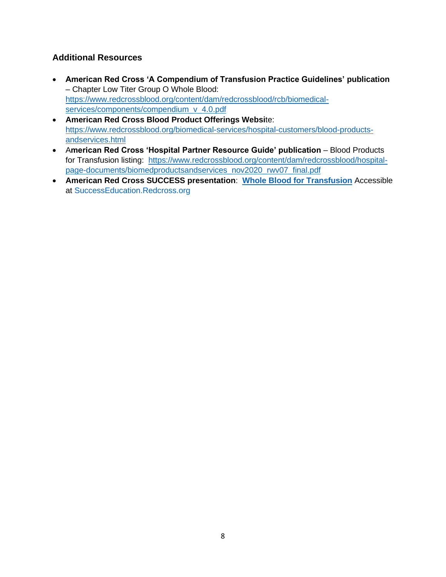### **Additional Resources**

- **American Red Cross 'A Compendium of Transfusion Practice Guidelines' publication** – Chapter Low Titer Group O Whole Blood: [https://www.redcrossblood.org/content/dam/redcrossblood/rcb/biomedical](https://www.redcrossblood.org/content/dam/redcrossblood/rcb/biomedical-services/components/compendium_v_4.0.pdf)[services/components/compendium\\_v\\_4.0.pdf](https://www.redcrossblood.org/content/dam/redcrossblood/rcb/biomedical-services/components/compendium_v_4.0.pdf)
- **American Red Cross Blood Product Offerings Websi**te: [https://www.redcrossblood.org/biomedical-services/hospital-customers/blood-products](https://www.redcrossblood.org/biomedical-services/hospital-customers/blood-products-andservices.html)[andservices.html](https://www.redcrossblood.org/biomedical-services/hospital-customers/blood-products-andservices.html)
- American Red Cross 'Hospital Partner Resource Guide' publication Blood Products for Transfusion listing: [https://www.redcrossblood.org/content/dam/redcrossblood/hospital](https://www.redcrossblood.org/content/dam/redcrossblood/hospital-page-documents/biomedproductsandservices_nov2020_rwv07_final.pdf)[page-documents/biomedproductsandservices\\_nov2020\\_rwv07\\_final.pdf](https://www.redcrossblood.org/content/dam/redcrossblood/hospital-page-documents/biomedproductsandservices_nov2020_rwv07_final.pdf)
- **American Red Cross SUCCESS presentation**: **[Whole Blood for Transfusion](https://successeducationna134.force.com/s/learning-plan-detail-standard?ltui__urlRecordId=a2v4R000003uFMWQA2<ui__urlRedirect=learning-plan-detail-standard)** Accessible at [SuccessEducation.Redcross.org](http://successeducation.redcross.org/)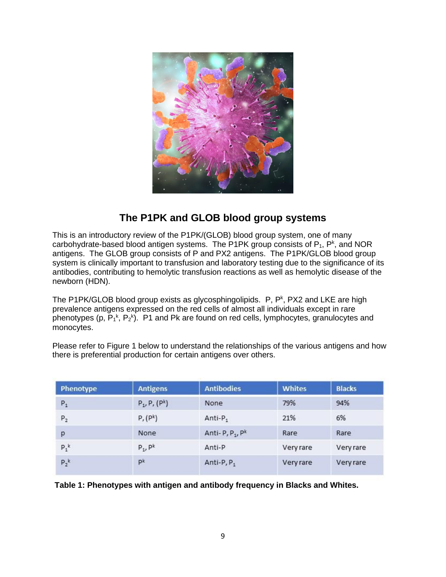

# **The P1PK and GLOB blood group systems**

This is an introductory review of the P1PK/(GLOB) blood group system, one of many carbohydrate-based blood antigen systems. The P1PK group consists of  $P_1$ ,  $P^k$ , and NOR antigens. The GLOB group consists of P and PX2 antigens. The P1PK/GLOB blood group system is clinically important to transfusion and laboratory testing due to the significance of its antibodies, contributing to hemolytic transfusion reactions as well as hemolytic disease of the newborn (HDN).

The P1PK/GLOB blood group exists as glycosphingolipids.  $P$ ,  $P<sup>k</sup>$ , PX2 and LKE are high prevalence antigens expressed on the red cells of almost all individuals except in rare phenotypes (p,  $P_1^k$ ,  $P_2^k$ ). P1 and Pk are found on red cells, lymphocytes, granulocytes and monocytes.

Please refer to Figure 1 below to understand the relationships of the various antigens and how there is preferential production for certain antigens over others.

| <b>Phenotype</b> | <b>Antigens</b>      | <b>Antibodies</b>      | <b>Whites</b> | <b>Blacks</b> |
|------------------|----------------------|------------------------|---------------|---------------|
| ${\sf P}_1$      | $P_1, P, (P^k)$      | None                   | 79%           | 94%           |
| $P_2$            | P, (P <sup>k</sup> ) | Anti-P <sub>1</sub>    | 21%           | 6%            |
| p                | None                 | Anti-P, $P_1$ , $P_k$  | Rare          | Rare          |
| $P_1^k$          | $P_1$ , $P^k$        | Anti-P                 | Very rare     | Very rare     |
| $P_2^k$          | pk                   | Anti-P, P <sub>1</sub> | Very rare     | Very rare     |

**Table 1: Phenotypes with antigen and antibody frequency in Blacks and Whites.**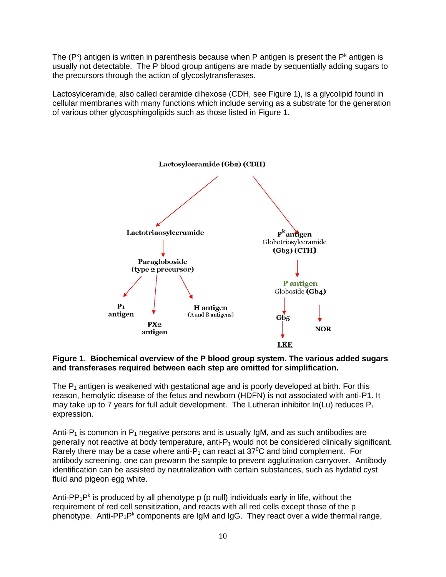The  $(P<sup>k</sup>)$  antigen is written in parenthesis because when P antigen is present the  $P<sup>k</sup>$  antigen is usually not detectable. The P blood group antigens are made by sequentially adding sugars to the precursors through the action of glycoslytransferases.

Lactosylceramide, also called ceramide dihexose (CDH, see Figure 1), is a glycolipid found in cellular membranes with many functions which include serving as a substrate for the generation of various other glycosphingolipids such as those listed in Figure 1.



#### **Figure 1. Biochemical overview of the P blood group system. The various added sugars and transferases required between each step are omitted for simplification.**

The  $P_1$  antigen is weakened with gestational age and is poorly developed at birth. For this reason, hemolytic disease of the fetus and newborn (HDFN) is not associated with anti‐P1. It may take up to 7 years for full adult development. The Lutheran inhibitor  $In(Lu)$  reduces  $P_1$ expression.

Anti-P<sub>1</sub> is common in P<sub>1</sub> negative persons and is usually IgM, and as such antibodies are generally not reactive at body temperature, anti- $P_1$  would not be considered clinically significant. Rarely there may be a case where anti- $P_1$  can react at 37<sup>o</sup>C and bind complement. For antibody screening, one can prewarm the sample to prevent agglutination carryover. Antibody identification can be assisted by neutralization with certain substances, such as hydatid cyst fluid and pigeon egg white.

Anti-PP<sub>1</sub>P<sup>k</sup> is produced by all phenotype p (p null) individuals early in life, without the requirement of red cell sensitization, and reacts with all red cells except those of the p phenotype. Anti-PP<sub>1</sub>P<sup>k</sup> components are IgM and IgG. They react over a wide thermal range,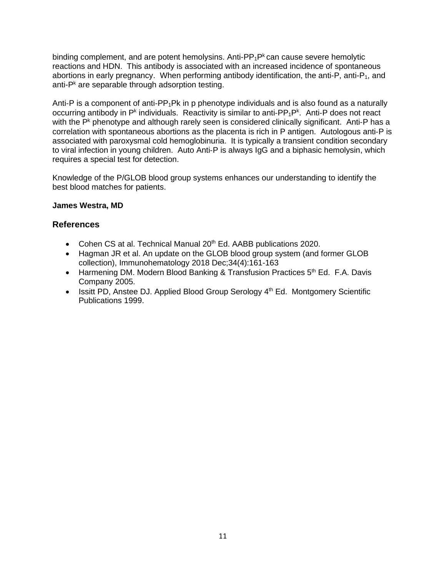binding complement, and are potent hemolysins. Anti-PP<sub>1</sub>P<sup>k</sup> can cause severe hemolytic reactions and HDN. This antibody is associated with an increased incidence of spontaneous abortions in early pregnancy. When performing antibody identification, the anti-P, anti-P<sub>1</sub>, and anti-P<sup>k</sup> are separable through adsorption testing.

Anti-P is a component of anti-PP<sub>1</sub>Pk in p phenotype individuals and is also found as a naturally occurring antibody in P<sup>k</sup> individuals. Reactivity is similar to anti-PP<sub>1</sub>P<sup>k</sup>. Anti-P does not react with the P<sup>k</sup> phenotype and although rarely seen is considered clinically significant. Anti-P has a correlation with spontaneous abortions as the placenta is rich in P antigen. Autologous anti‐P is associated with paroxysmal cold hemoglobinuria. It is typically a transient condition secondary to viral infection in young children. Auto Anti‐P is always IgG and a biphasic hemolysin, which requires a special test for detection.

Knowledge of the P/GLOB blood group systems enhances our understanding to identify the best blood matches for patients.

#### **James Westra, MD**

- Cohen CS at al. Technical Manual 20<sup>th</sup> Ed. AABB publications 2020.
- Hagman JR et al. An update on the GLOB blood group system (and former GLOB collection), Immunohematology 2018 Dec;34(4):161-163
- Harmening DM. Modern Blood Banking & Transfusion Practices  $5<sup>th</sup>$  Ed. F.A. Davis Company 2005.
- Issitt PD, Anstee DJ. Applied Blood Group Serology 4<sup>th</sup> Ed. Montgomery Scientific Publications 1999.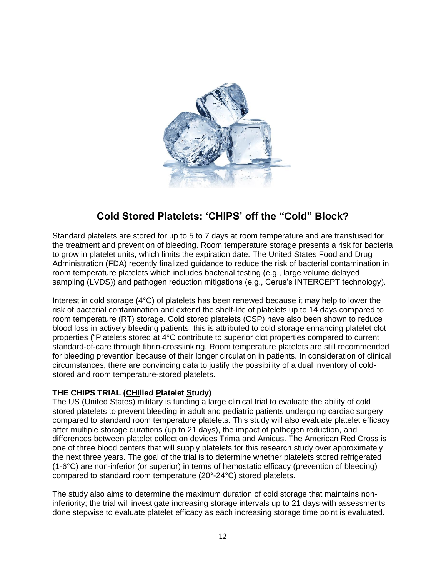

# **Cold Stored Platelets: 'CHIPS' off the "Cold" Block?**

Standard platelets are stored for up to 5 to 7 days at room temperature and are transfused for the treatment and prevention of bleeding. Room temperature storage presents a risk for bacteria to grow in platelet units, which limits the expiration date. The United States Food and Drug Administration (FDA) recently finalized guidance to reduce the risk of bacterial contamination in room temperature platelets which includes bacterial testing (e.g., large volume delayed sampling (LVDS)) and pathogen reduction mitigations (e.g., Cerus's INTERCEPT technology).

Interest in cold storage (4°C) of platelets has been renewed because it may help to lower the risk of bacterial contamination and extend the shelf-life of platelets up to 14 days compared to room temperature (RT) storage. Cold stored platelets (CSP) have also been shown to reduce blood loss in actively bleeding patients; this is attributed to cold storage enhancing platelet clot properties ("Platelets stored at 4°C contribute to superior clot properties compared to current standard-of-care through fibrin-crosslinking. Room temperature platelets are still recommended for bleeding prevention because of their longer circulation in patients. In consideration of clinical circumstances, there are convincing data to justify the possibility of a dual inventory of coldstored and room temperature-stored platelets.

### **THE CHIPS TRIAL (CHIlled Platelet Study)**

The US (United States) military is funding a large clinical trial to evaluate the ability of cold stored platelets to prevent bleeding in adult and pediatric patients undergoing cardiac surgery compared to standard room temperature platelets. This study will also evaluate platelet efficacy after multiple storage durations (up to 21 days), the impact of pathogen reduction, and differences between platelet collection devices Trima and Amicus. The American Red Cross is one of three blood centers that will supply platelets for this research study over approximately the next three years. The goal of the trial is to determine whether platelets stored refrigerated (1-6°C) are non-inferior (or superior) in terms of hemostatic efficacy (prevention of bleeding) compared to standard room temperature (20°-24°C) stored platelets.

The study also aims to determine the maximum duration of cold storage that maintains noninferiority; the trial will investigate increasing storage intervals up to 21 days with assessments done stepwise to evaluate platelet efficacy as each increasing storage time point is evaluated.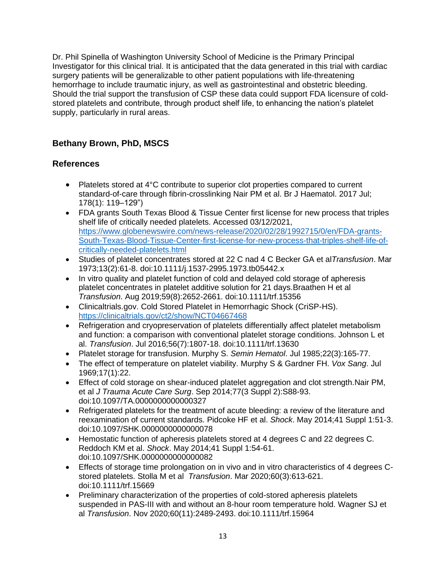Dr. Phil Spinella of Washington University School of Medicine is the Primary Principal Investigator for this clinical trial. It is anticipated that the data generated in this trial with cardiac surgery patients will be generalizable to other patient populations with life-threatening hemorrhage to include traumatic injury, as well as gastrointestinal and obstetric bleeding. Should the trial support the transfusion of CSP these data could support FDA licensure of coldstored platelets and contribute, through product shelf life, to enhancing the nation's platelet supply, particularly in rural areas.

## **Bethany Brown, PhD, MSCS**

- Platelets stored at 4°C contribute to superior clot properties compared to current standard-of-care through fibrin-crosslinking Nair PM et al. Br J Haematol. 2017 Jul; 178(1): 119–129")
- FDA grants South Texas Blood & Tissue Center first license for new process that triples shelf life of critically needed platelets. Accessed 03/12/2021, [https://www.globenewswire.com/news-release/2020/02/28/1992715/0/en/FDA-grants-](https://www.globenewswire.com/news-release/2020/02/28/1992715/0/en/FDA-grants-South-Texas-Blood-Tissue-Center-first-license-for-new-process-that-triples-shelf-life-of-critically-needed-platelets.html)[South-Texas-Blood-Tissue-Center-first-license-for-new-process-that-triples-shelf-life-of](https://www.globenewswire.com/news-release/2020/02/28/1992715/0/en/FDA-grants-South-Texas-Blood-Tissue-Center-first-license-for-new-process-that-triples-shelf-life-of-critically-needed-platelets.html)[critically-needed-platelets.html](https://www.globenewswire.com/news-release/2020/02/28/1992715/0/en/FDA-grants-South-Texas-Blood-Tissue-Center-first-license-for-new-process-that-triples-shelf-life-of-critically-needed-platelets.html)
- Studies of platelet concentrates stored at 22 C nad 4 C Becker GA et al*Transfusion*. Mar 1973;13(2):61-8. doi:10.1111/j.1537-2995.1973.tb05442.x
- In vitro quality and platelet function of cold and delayed cold storage of apheresis platelet concentrates in platelet additive solution for 21 days.Braathen H et al *Transfusion*. Aug 2019;59(8):2652-2661. doi:10.1111/trf.15356
- Clinicaltrials.gov. Cold Stored Platelet in Hemorrhagic Shock (CriSP-HS). <https://clinicaltrials.gov/ct2/show/NCT04667468>
- Refrigeration and cryopreservation of platelets differentially affect platelet metabolism and function: a comparison with conventional platelet storage conditions. Johnson L et al. *Transfusion*. Jul 2016;56(7):1807-18. doi:10.1111/trf.13630
- Platelet storage for transfusion. Murphy S. *Semin Hematol*. Jul 1985;22(3):165-77.
- The effect of temperature on platelet viability. Murphy S & Gardner FH. *Vox Sang*. Jul 1969;17(1):22.
- Effect of cold storage on shear-induced platelet aggregation and clot strength.Nair PM, et al *J Trauma Acute Care Surg*. Sep 2014;77(3 Suppl 2):S88-93. doi:10.1097/TA.0000000000000327
- Refrigerated platelets for the treatment of acute bleeding: a review of the literature and reexamination of current standards. Pidcoke HF et al. *Shock*. May 2014;41 Suppl 1:51-3. doi:10.1097/SHK.0000000000000078
- Hemostatic function of apheresis platelets stored at 4 degrees C and 22 degrees C. Reddoch KM et al. *Shock*. May 2014;41 Suppl 1:54-61. doi:10.1097/SHK.0000000000000082
- Effects of storage time prolongation on in vivo and in vitro characteristics of 4 degrees Cstored platelets. Stolla M et al *Transfusion*. Mar 2020;60(3):613-621. doi:10.1111/trf.15669
- Preliminary characterization of the properties of cold-stored apheresis platelets suspended in PAS-III with and without an 8-hour room temperature hold. Wagner SJ et al *Transfusion*. Nov 2020;60(11):2489-2493. doi:10.1111/trf.15964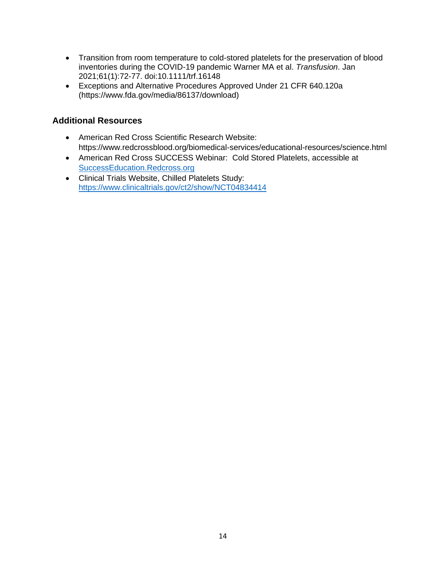- Transition from room temperature to cold-stored platelets for the preservation of blood inventories during the COVID-19 pandemic Warner MA et al. *Transfusion*. Jan 2021;61(1):72-77. doi:10.1111/trf.16148
- Exceptions and Alternative Procedures Approved Under 21 CFR 640.120a (https://www.fda.gov/media/86137/download)

## **Additional Resources**

- American Red Cross Scientific Research Website: https://www.redcrossblood.org/biomedical-services/educational-resources/science.html
- American Red Cross SUCCESS Webinar: Cold Stored Platelets, accessible at [SuccessEducation.Redcross.org](http://successeducation.redcross.org/)
- Clinical Trials Website, Chilled Platelets Study: <https://www.clinicaltrials.gov/ct2/show/NCT04834414>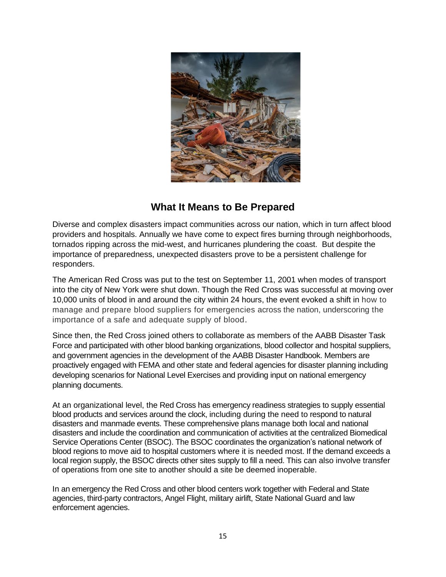

## **What It Means to Be Prepared**

Diverse and complex disasters impact communities across our nation, which in turn affect blood providers and hospitals. Annually we have come to expect fires burning through neighborhoods, tornados ripping across the mid-west, and hurricanes plundering the coast. But despite the importance of preparedness, unexpected disasters prove to be a persistent challenge for responders.

The American Red Cross was put to the test on September 11, 2001 when modes of transport into the city of New York were shut down. Though the Red Cross was successful at moving over 10,000 units of blood in and around the city within 24 hours, the event evoked a shift in how to manage and prepare blood suppliers for emergencies across the nation, underscoring the importance of a safe and adequate supply of blood.

Since then, the Red Cross joined others to collaborate as members of the AABB Disaster Task Force and participated with other blood banking organizations, blood collector and hospital suppliers, and government agencies in the development of the AABB Disaster Handbook. Members are proactively engaged with FEMA and other state and federal agencies for disaster planning including developing scenarios for National Level Exercises and providing input on national emergency planning documents.

At an organizational level, the Red Cross has emergency readiness strategies to supply essential blood products and services around the clock, including during the need to respond to natural disasters and manmade events. These comprehensive plans manage both local and national disasters and include the coordination and communication of activities at the centralized Biomedical Service Operations Center (BSOC). The BSOC coordinates the organization's national network of blood regions to move aid to hospital customers where it is needed most. If the demand exceeds a local region supply, the BSOC directs other sites supply to fill a need. This can also involve transfer of operations from one site to another should a site be deemed inoperable.

In an emergency the Red Cross and other blood centers work together with Federal and State agencies, third-party contractors, Angel Flight, military airlift, State National Guard and law enforcement agencies.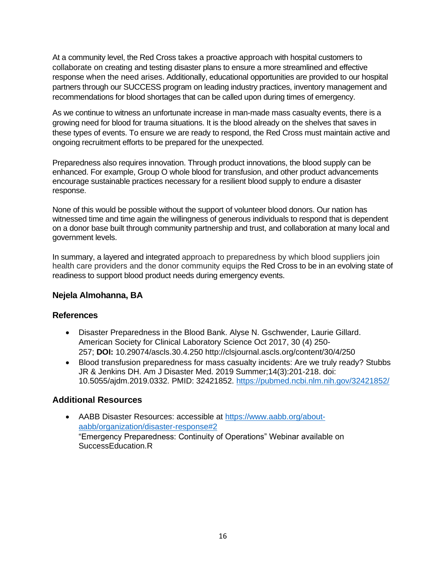At a community level, the Red Cross takes a proactive approach with hospital customers to collaborate on creating and testing disaster plans to ensure a more streamlined and effective response when the need arises. Additionally, educational opportunities are provided to our hospital partners through our SUCCESS program on leading industry practices, inventory management and recommendations for blood shortages that can be called upon during times of emergency.

As we continue to witness an unfortunate increase in man-made mass casualty events, there is a growing need for blood for trauma situations. It is the blood already on the shelves that saves in these types of events. To ensure we are ready to respond, the Red Cross must maintain active and ongoing recruitment efforts to be prepared for the unexpected.

Preparedness also requires innovation. Through product innovations, the blood supply can be enhanced. For example, Group O whole blood for transfusion, and other product advancements encourage sustainable practices necessary for a resilient blood supply to endure a disaster response.

None of this would be possible without the support of volunteer blood donors. Our nation has witnessed time and time again the willingness of generous individuals to respond that is dependent on a donor base built through community partnership and trust, and collaboration at many local and government levels.

In summary, a layered and integrated approach to preparedness by which blood suppliers join health care providers and the donor community equips the Red Cross to be in an evolving state of readiness to support blood product needs during emergency events.

### **Nejela Almohanna, BA**

### **References**

- Disaster Preparedness in the Blood Bank. Alyse N. Gschwender, Laurie Gillard. American Society for Clinical Laboratory Science Oct 2017, 30 (4) 250- 257; **DOI:** 10.29074/ascls.30.4.250 http://clsjournal.ascls.org/content/30/4/250
- Blood transfusion preparedness for mass casualty incidents: Are we truly ready? Stubbs JR & Jenkins DH. Am J Disaster Med. 2019 Summer;14(3):201-218. doi: 10.5055/ajdm.2019.0332. PMID: 32421852.<https://pubmed.ncbi.nlm.nih.gov/32421852/>

### **Additional Resources**

• AABB Disaster Resources: accessible at [https://www.aabb.org/about](https://www.aabb.org/about-aabb/organization/disaster-response#2)[aabb/organization/disaster-response#2](https://www.aabb.org/about-aabb/organization/disaster-response#2) "Emergency Preparedness: Continuity of Operations" Webinar available on SuccessEducation.R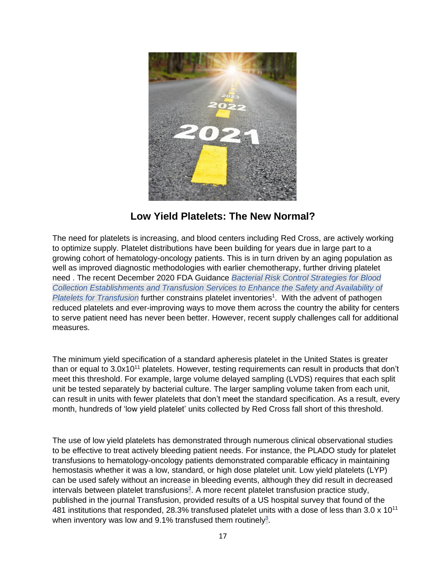

## **Low Yield Platelets: The New Normal?**

The need for platelets is increasing, and blood centers including Red Cross, are actively working to optimize supply. Platelet distributions have been building for years due in large part to a growing cohort of hematology-oncology patients. This is in turn driven by an aging population as well as improved diagnostic methodologies with earlier chemotherapy, further driving platelet need . The recent December 2020 FDA Guidance *Bacterial Risk Control Strategies for Blood Collection Establishments and Transfusion Services to Enhance the Safety and Availability of*  Platelets for Transfusion further constrains platelet inventories<sup>1</sup>. With the advent of pathogen reduced platelets and ever-improving ways to move them across the country the ability for centers to serve patient need has never been better. However, recent supply challenges call for additional measures.

The minimum yield specification of a standard apheresis platelet in the United States is greater than or equal to 3.0x10<sup>11</sup> platelets. However, testing requirements can result in products that don't meet this threshold. For example, large volume delayed sampling (LVDS) requires that each split unit be tested separately by bacterial culture. The larger sampling volume taken from each unit, can result in units with fewer platelets that don't meet the standard specification. As a result, every month, hundreds of 'low yield platelet' units collected by Red Cross fall short of this threshold.

The use of low yield platelets has demonstrated through numerous clinical observational studies to be effective to treat actively bleeding patient needs. For instance, the PLADO study for platelet transfusions to hematology-oncology patients demonstrated comparable efficacy in maintaining hemostasis whether it was a low, standard, or high dose platelet unit. Low yield platelets (LYP) can be used safely without an increase in bleeding events, although they did result in decreased intervals between platelet transfusions<sup>2</sup>. A more recent platelet transfusion practice study, published in the journal Transfusion, provided results of a US hospital survey that found of the 481 institutions that responded, 28.3% transfused platelet units with a dose of less than 3.0 x 10<sup>11</sup> when inventory was low and 9.1% transfused them routinely<sup>3</sup>.